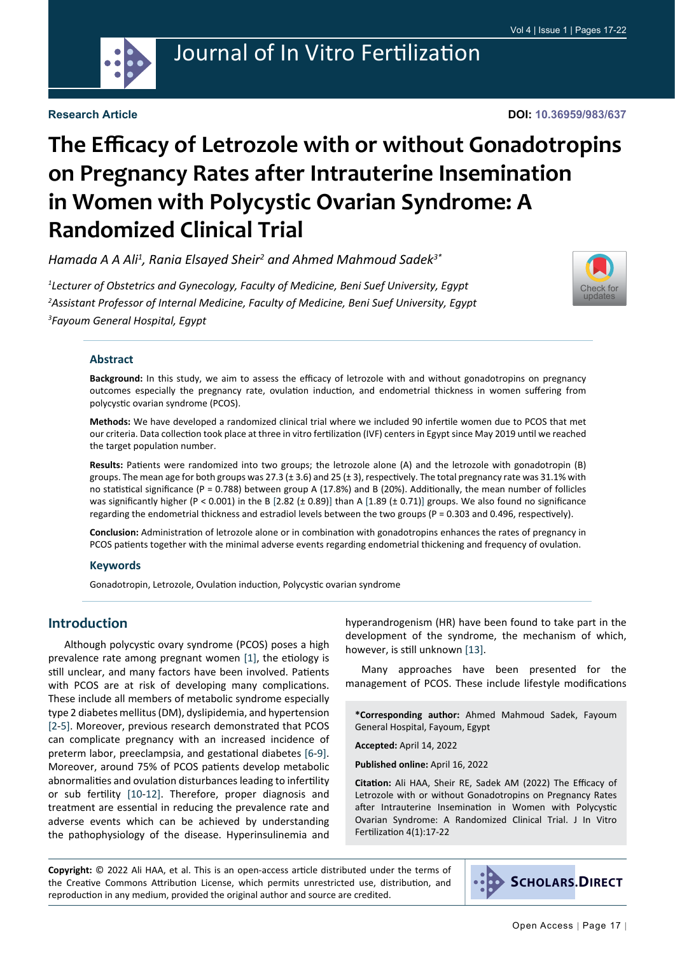

## Journal of In Vitro Fertilization

#### **Research Article**

# **The Efficacy of Letrozole with or without Gonadotropins on Pregnancy Rates after Intrauterine Insemination in Women with Polycystic Ovarian Syndrome: A Randomized Clinical Trial**

Hamada A A Ali<sup>1</sup>, Rania Elsayed Sheir<sup>2</sup> and Ahmed Mahmoud Sadek<sup>3\*</sup>

*1 Lecturer of Obstetrics and Gynecology, Faculty of Medicine, Beni Suef University, Egypt 2 Assistant Professor of Internal Medicine, Faculty of Medicine, Beni Suef University, Egypt 3 Fayoum General Hospital, Egypt*



#### **Abstract**

**Background:** In this study, we aim to assess the efficacy of letrozole with and without gonadotropins on pregnancy outcomes especially the pregnancy rate, ovulation induction, and endometrial thickness in women suffering from polycystic ovarian syndrome (PCOS).

**Methods:** We have developed a randomized clinical trial where we included 90 infertile women due to PCOS that met our criteria. Data collection took place at three in vitro fertilization (IVF) centers in Egypt since May 2019 until we reached the target population number.

Results: Patients were randomized into two groups; the letrozole alone (A) and the letrozole with gonadotropin (B) groups. The mean age for both groups was 27.3 ( $\pm$  3.6) and 25 ( $\pm$  3), respectively. The total pregnancy rate was 31.1% with no statistical significance (P = 0.788) between group A (17.8%) and B (20%). Additionally, the mean number of follicles was significantly higher (P < 0.001) in the B [2.82 (± 0.89)] than A [1.89 (± 0.71)] groups. We also found no significance regarding the endometrial thickness and estradiol levels between the two groups (P = 0.303 and 0.496, respectively).

**Conclusion:** Administration of letrozole alone or in combination with gonadotropins enhances the rates of pregnancy in PCOS patients together with the minimal adverse events regarding endometrial thickening and frequency of ovulation.

#### **Keywords**

Gonadotropin, Letrozole, Ovulation induction, Polycystic ovarian syndrome

#### **Introduction**

Although polycystic ovary syndrome (PCOS) poses a high prevalence rate among pregnant women [\[1](#page-4-0)], the etiology is still unclear, and many factors have been involved. Patients with PCOS are at risk of developing many complications. These include all members of metabolic syndrome especially type 2 diabetes mellitus (DM), dyslipidemia, and hypertension [[2-](#page-4-1)[5\]](#page-5-0). Moreover, previous research demonstrated that PCOS can complicate pregnancy with an increased incidence of preterm labor, preeclampsia, and gestational diabetes [[6-](#page-5-1)[9\]](#page-5-2). Moreover, around 75% of PCOS patients develop metabolic abnormalities and ovulation disturbances leading to infertility or sub fertility [\[10](#page-5-3)-[12\]](#page-5-4). Therefore, proper diagnosis and treatment are essential in reducing the prevalence rate and adverse events which can be achieved by understanding the pathophysiology of the disease. Hyperinsulinemia and

hyperandrogenism (HR) have been found to take part in the development of the syndrome, the mechanism of which, however, is still unknown [\[13](#page-5-5)].

Many approaches have been presented for the management of PCOS. These include lifestyle modifications

**\*Corresponding author:** Ahmed Mahmoud Sadek, Fayoum General Hospital, Fayoum, Egypt

**Accepted:** April 14, 2022

**Published online:** April 16, 2022

**Citation:** Ali HAA, Sheir RE, Sadek AM (2022) The Efficacy of Letrozole with or without Gonadotropins on Pregnancy Rates after Intrauterine Insemination in Women with Polycystic Ovarian Syndrome: A Randomized Clinical Trial. J In Vitro Fertilization 4(1):17-22

**Copyright:** © 2022 Ali HAA, et al. This is an open-access article distributed under the terms of the Creative Commons Attribution License, which permits unrestricted use, distribution, and reproduction in any medium, provided the original author and source are credited.

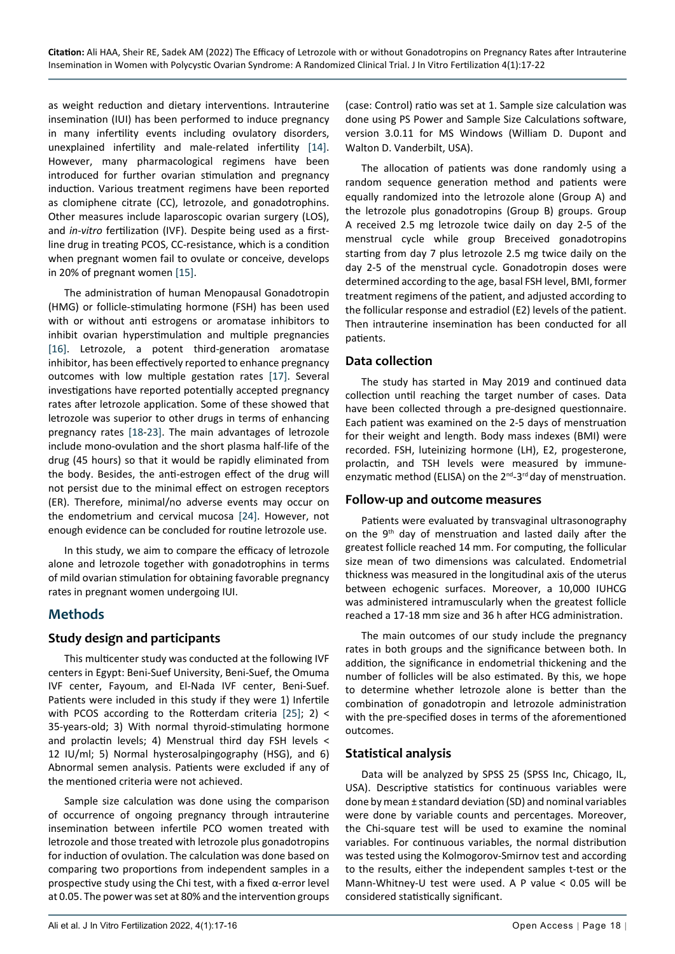as weight reduction and dietary interventions. Intrauterine insemination (IUI) has been performed to induce pregnancy in many infertility events including ovulatory disorders, unexplained infertility and male-related infertility [[14\]](#page-5-6). However, many pharmacological regimens have been introduced for further ovarian stimulation and pregnancy induction. Various treatment regimens have been reported as clomiphene citrate (CC), letrozole, and gonadotrophins. Other measures include laparoscopic ovarian surgery (LOS), and *in-vitro* fertilization (IVF). Despite being used as a firstline drug in treating PCOS, CC-resistance, which is a condition when pregnant women fail to ovulate or conceive, develops in 20% of pregnant women [[15\]](#page-5-7).

The administration of human Menopausal Gonadotropin (HMG) or follicle-stimulating hormone (FSH) has been used with or without anti estrogens or aromatase inhibitors to inhibit ovarian hyperstimulation and multiple pregnancies [[16\]](#page-5-8). Letrozole, a potent third-generation aromatase inhibitor, has been effectively reported to enhance pregnancy outcomes with low multiple gestation rates [\[17](#page-5-9)]. Several investigations have reported potentially accepted pregnancy rates after letrozole application. Some of these showed that letrozole was superior to other drugs in terms of enhancing pregnancy rates [\[18](#page-5-10)-[23\]](#page-5-11). The main advantages of letrozole include mono-ovulation and the short plasma half-life of the drug (45 hours) so that it would be rapidly eliminated from the body. Besides, the anti-estrogen effect of the drug will not persist due to the minimal effect on estrogen receptors (ER). Therefore, minimal/no adverse events may occur on the endometrium and cervical mucosa [[24\]](#page-5-12). However, not enough evidence can be concluded for routine letrozole use.

In this study, we aim to compare the efficacy of letrozole alone and letrozole together with gonadotrophins in terms of mild ovarian stimulation for obtaining favorable pregnancy rates in pregnant women undergoing IUI.

## **Methods**

#### **Study design and participants**

This multicenter study was conducted at the following IVF centers in Egypt: Beni-Suef University, Beni-Suef, the Omuma IVF center, Fayoum, and El-Nada IVF center, Beni-Suef. Patients were included in this study if they were 1) Infertile with PCOS according to the Rotterdam criteria [\[25](#page-5-13)]; 2) < 35-years-old; 3) With normal thyroid-stimulating hormone and prolactin levels; 4) Menstrual third day FSH levels < 12 IU/ml; 5) Normal hysterosalpingography (HSG), and 6) Abnormal semen analysis. Patients were excluded if any of the mentioned criteria were not achieved.

Sample size calculation was done using the comparison of occurrence of ongoing pregnancy through intrauterine insemination between infertile PCO women treated with letrozole and those treated with letrozole plus gonadotropins for induction of ovulation. The calculation was done based on comparing two proportions from independent samples in a prospective study using the Chi test, with a fixed  $\alpha$ -error level at 0.05. The power was set at 80% and the intervention groups

(case: Control) ratio was set at 1. Sample size calculation was done using PS Power and Sample Size Calculations software, version 3.0.11 for MS Windows (William D. Dupont and Walton D. Vanderbilt, USA).

The allocation of patients was done randomly using a random sequence generation method and patients were equally randomized into the letrozole alone (Group A) and the letrozole plus gonadotropins (Group B) groups. Group A received 2.5 mg letrozole twice daily on day 2-5 of the menstrual cycle while group Breceived gonadotropins starting from day 7 plus letrozole 2.5 mg twice daily on the day 2-5 of the menstrual cycle. Gonadotropin doses were determined according to the age, basal FSH level, BMI, former treatment regimens of the patient, and adjusted according to the follicular response and estradiol (E2) levels of the patient. Then intrauterine insemination has been conducted for all patients.

#### **Data collection**

The study has started in May 2019 and continued data collection until reaching the target number of cases. Data have been collected through a pre-designed questionnaire. Each patient was examined on the 2-5 days of menstruation for their weight and length. Body mass indexes (BMI) were recorded. FSH, luteinizing hormone (LH), E2, progesterone, prolactin, and TSH levels were measured by immuneenzymatic method (ELISA) on the  $2^{nd}$ -3<sup>rd</sup> day of menstruation.

#### **Follow-up and outcome measures**

Patients were evaluated by transvaginal ultrasonography on the 9th day of menstruation and lasted daily after the greatest follicle reached 14 mm. For computing, the follicular size mean of two dimensions was calculated. Endometrial thickness was measured in the longitudinal axis of the uterus between echogenic surfaces. Moreover, a 10,000 IUHCG was administered intramuscularly when the greatest follicle reached a 17-18 mm size and 36 h after HCG administration.

The main outcomes of our study include the pregnancy rates in both groups and the significance between both. In addition, the significance in endometrial thickening and the number of follicles will be also estimated. By this, we hope to determine whether letrozole alone is better than the combination of gonadotropin and letrozole administration with the pre-specified doses in terms of the aforementioned outcomes.

#### **Statistical analysis**

Data will be analyzed by SPSS 25 (SPSS Inc, Chicago, IL, USA). Descriptive statistics for continuous variables were done by mean ± standard deviation (SD) and nominal variables were done by variable counts and percentages. Moreover, the Chi-square test will be used to examine the nominal variables. For continuous variables, the normal distribution was tested using the Kolmogorov-Smirnov test and according to the results, either the independent samples t-test or the Mann-Whitney-U test were used. A P value < 0.05 will be considered statistically significant.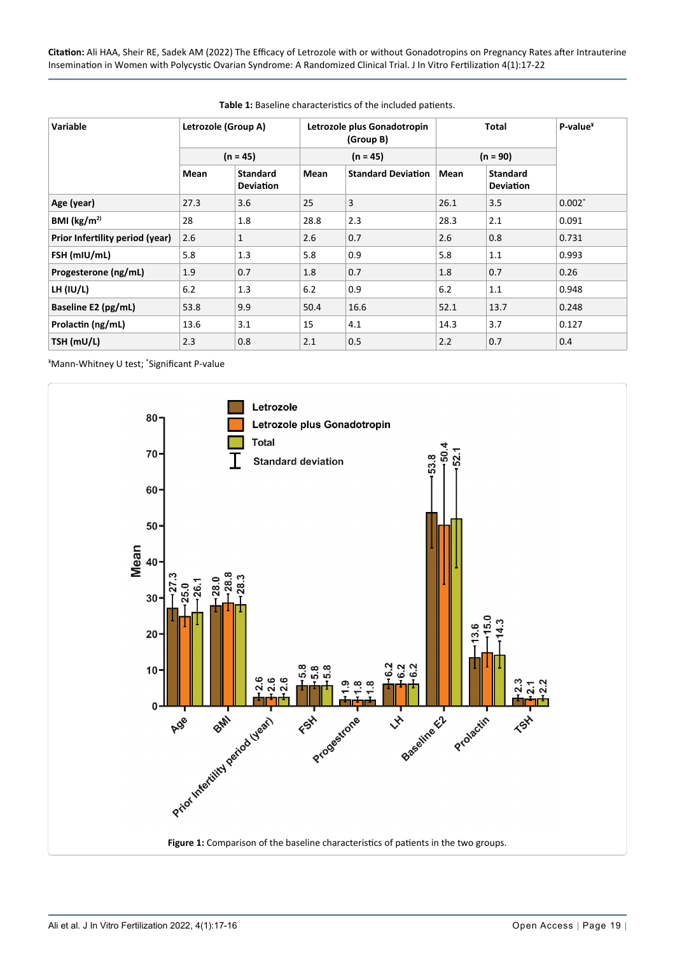**Citation:** Ali HAA, Sheir RE, Sadek AM (2022) The Efficacy of Letrozole with or without Gonadotropins on Pregnancy Rates after Intrauterine Insemination in Women with Polycystic Ovarian Syndrome: A Randomized Clinical Trial. J In Vitro Fertilization 4(1):17-22

| <b>Variable</b>                 | Letrozole (Group A) |                                     | Letrozole plus Gonadotropin<br>(Group B) |                           | <b>Total</b> |                                     | $P-value^*$ |
|---------------------------------|---------------------|-------------------------------------|------------------------------------------|---------------------------|--------------|-------------------------------------|-------------|
|                                 | $(n = 45)$          |                                     | $(n = 45)$                               |                           | $(n = 90)$   |                                     |             |
|                                 | Mean                | <b>Standard</b><br><b>Deviation</b> | Mean                                     | <b>Standard Deviation</b> | Mean         | <b>Standard</b><br><b>Deviation</b> |             |
| Age (year)                      | 27.3                | 3.6                                 | 25                                       | 3                         | 26.1         | 3.5                                 | $0.002*$    |
| BMI ( $\text{kg/m}^{2}$ )       | 28                  | 1.8                                 | 28.8                                     | 2.3                       | 28.3         | 2.1                                 | 0.091       |
| Prior Infertility period (year) | 2.6                 | 1                                   | 2.6                                      | 0.7                       | 2.6          | 0.8                                 | 0.731       |
| FSH (mIU/mL)                    | 5.8                 | 1.3                                 | 5.8                                      | 0.9                       | 5.8          | 1.1                                 | 0.993       |
| Progesterone (ng/mL)            | 1.9                 | 0.7                                 | 1.8                                      | 0.7                       | 1.8          | 0.7                                 | 0.26        |
| LH (IU/L)                       | 6.2                 | 1.3                                 | 6.2                                      | 0.9                       | 6.2          | 1.1                                 | 0.948       |
| Baseline E2 (pg/mL)             | 53.8                | 9.9                                 | 50.4                                     | 16.6                      | 52.1         | 13.7                                | 0.248       |
| Prolactin (ng/mL)               | 13.6                | 3.1                                 | 15                                       | 4.1                       | 14.3         | 3.7                                 | 0.127       |
| TSH (mU/L)                      | 2.3                 | 0.8                                 | 2.1                                      | 0.5                       | 2.2          | 0.7                                 | 0.4         |

#### <span id="page-2-0"></span>**Table 1:** Baseline characteristics of the included patients.

¥ Mann-Whitney U test; \* Significant P-value

<span id="page-2-1"></span>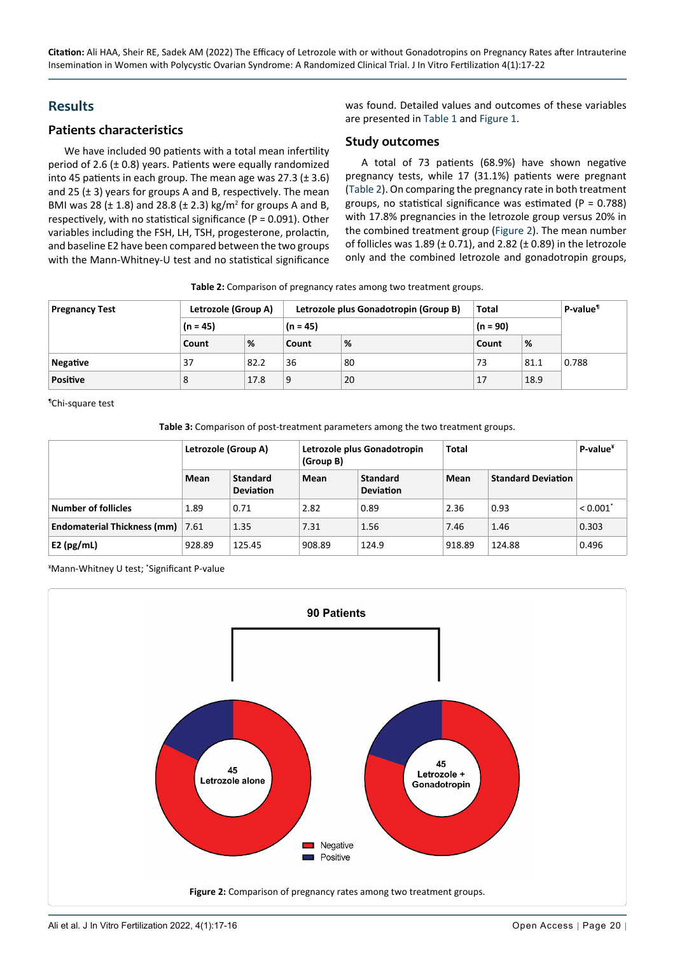**Citation:** Ali HAA, Sheir RE, Sadek AM (2022) The Efficacy of Letrozole with or without Gonadotropins on Pregnancy Rates after Intrauterine Insemination in Women with Polycystic Ovarian Syndrome: A Randomized Clinical Trial. J In Vitro Fertilization 4(1):17-22

### **Results**

#### **Patients characteristics**

We have included 90 patients with a total mean infertility period of 2.6 (± 0.8) years. Patients were equally randomized into 45 patients in each group. The mean age was 27.3 ( $\pm$  3.6) and 25 ( $\pm$  3) years for groups A and B, respectively. The mean BMI was 28 ( $\pm$  1.8) and 28.8 ( $\pm$  2.3) kg/m<sup>2</sup> for groups A and B, respectively, with no statistical significance ( $P = 0.091$ ). Other variables including the FSH, LH, TSH, progesterone, prolactin, and baseline E2 have been compared between the two groups with the Mann-Whitney-U test and no statistical significance

was found. Detailed values and outcomes of these variables are presented in [Table 1](#page-2-0) and [Figure 1](#page-2-1).

#### **Study outcomes**

A total of 73 patients (68.9%) have shown negative pregnancy tests, while 17 (31.1%) patients were pregnant ([Table 2\)](#page-3-0). On comparing the pregnancy rate in both treatment groups, no statistical significance was estimated ( $P = 0.788$ ) with 17.8% pregnancies in the letrozole group versus 20% in the combined treatment group ([Figure 2\)](#page-3-1). The mean number of follicles was 1.89 ( $\pm$  0.71), and 2.82 ( $\pm$  0.89) in the letrozole only and the combined letrozole and gonadotropin groups,

<span id="page-3-0"></span>**Table 2:** Comparison of pregnancy rates among two treatment groups.

| <b>Pregnancy Test</b> | Letrozole (Group A) |      | Letrozole plus Gonadotropin (Group B) | Total      |       | P-value <sup>1</sup> |       |
|-----------------------|---------------------|------|---------------------------------------|------------|-------|----------------------|-------|
|                       | $(n = 45)$          |      | $(n = 45)$                            | $(n = 90)$ |       |                      |       |
|                       | Count               | %    | Count                                 | %          | Count | %                    |       |
| Negative              | 37                  | 82.2 | 36                                    | 80         | 73    | 81.1                 | 0.788 |
| <b>Positive</b>       | 8                   | 17.8 | 9                                     | 20         | 17    | 18.9                 |       |

¶Chi-square test

<span id="page-3-2"></span>**Table 3:** Comparison of post-treatment parameters among the two treatment groups.

|                                         | Letrozole (Group A) |                                     | Letrozole plus Gonadotropin<br>(Group B) |                                     | <b>Total</b> | $P-value^*$               |                        |
|-----------------------------------------|---------------------|-------------------------------------|------------------------------------------|-------------------------------------|--------------|---------------------------|------------------------|
|                                         | Mean                | <b>Standard</b><br><b>Deviation</b> | Mean                                     | <b>Standard</b><br><b>Deviation</b> | Mean         | <b>Standard Deviation</b> |                        |
| <b>Number of follicles</b>              | 1.89                | 0.71                                | 2.82                                     | 0.89                                | 2.36         | 0.93                      | $< 0.001$ <sup>*</sup> |
| <b>Endomaterial Thickness (mm)</b> 7.61 |                     | 1.35                                | 7.31                                     | 1.56                                | 7.46         | 1.46                      | 0.303                  |
| E2 $(pg/mL)$                            | 928.89              | 125.45                              | 908.89                                   | 124.9                               | 918.89       | 124.88                    | 0.496                  |

¥ Mann-Whitney U test; \* Significant P-value

<span id="page-3-1"></span>

Ali et al. J In Vitro Fertilization 2022, 4(1):17-16 Open Access | Page 20 |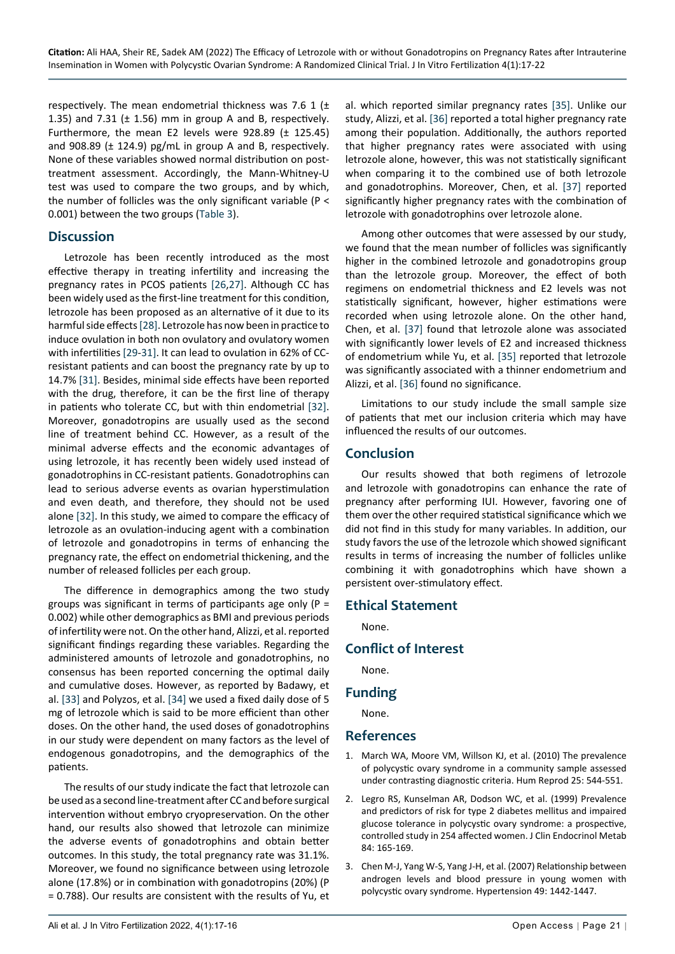respectively. The mean endometrial thickness was 7.6 1 ( $\pm$ 1.35) and 7.31 ( $\pm$  1.56) mm in group A and B, respectively. Furthermore, the mean E2 levels were 928.89 (± 125.45) and 908.89 (± 124.9) pg/mL in group A and B, respectively. None of these variables showed normal distribution on posttreatment assessment. Accordingly, the Mann-Whitney-U test was used to compare the two groups, and by which, the number of follicles was the only significant variable (P < 0.001) between the two groups ([Table 3](#page-3-2)).

#### **Discussion**

Letrozole has been recently introduced as the most effective therapy in treating infertility and increasing the pregnancy rates in PCOS patients [\[26](#page-5-17),[27](#page-5-18)]. Although CC has been widely used as the first-line treatment for this condition, letrozole has been proposed as an alternative of it due to its harmful side effects [[28](#page-5-19)]. Letrozole has now been in practice to induce ovulation in both non ovulatory and ovulatory women with infertilities [[29-](#page-5-20)[31\]](#page-5-21). It can lead to ovulation in 62% of CCresistant patients and can boost the pregnancy rate by up to 14.7% [[31\]](#page-5-21). Besides, minimal side effects have been reported with the drug, therefore, it can be the first line of therapy in patients who tolerate CC, but with thin endometrial [[32\]](#page-5-22). Moreover, gonadotropins are usually used as the second line of treatment behind CC. However, as a result of the minimal adverse effects and the economic advantages of using letrozole, it has recently been widely used instead of gonadotrophins in CC-resistant patients. Gonadotrophins can lead to serious adverse events as ovarian hyperstimulation and even death, and therefore, they should not be used alone [\[32\]](#page-5-22). In this study, we aimed to compare the efficacy of letrozole as an ovulation-inducing agent with a combination of letrozole and gonadotropins in terms of enhancing the pregnancy rate, the effect on endometrial thickening, and the number of released follicles per each group.

The difference in demographics among the two study groups was significant in terms of participants age only  $(P =$ 0.002) while other demographics as BMI and previous periods of infertility were not. On the other hand, Alizzi, et al. reported significant findings regarding these variables. Regarding the administered amounts of letrozole and gonadotrophins, no consensus has been reported concerning the optimal daily and cumulative doses. However, as reported by Badawy, et al. [\[33\]](#page-5-23) and Polyzos, et al. [\[34](#page-5-24)] we used a fixed daily dose of 5 mg of letrozole which is said to be more efficient than other doses. On the other hand, the used doses of gonadotrophins in our study were dependent on many factors as the level of endogenous gonadotropins, and the demographics of the patients.

The results of our study indicate the fact that letrozole can be used as a second line-treatment after CC and before surgical intervention without embryo cryopreservation. On the other hand, our results also showed that letrozole can minimize the adverse events of gonadotrophins and obtain better outcomes. In this study, the total pregnancy rate was 31.1%. Moreover, we found no significance between using letrozole alone (17.8%) or in combination with gonadotropins (20%) (P = 0.788). Our results are consistent with the results of Yu, et al. which reported similar pregnancy rates [[35\]](#page-5-14). Unlike our study, Alizzi, et al. [\[36](#page-5-15)] reported a total higher pregnancy rate among their population. Additionally, the authors reported that higher pregnancy rates were associated with using letrozole alone, however, this was not statistically significant when comparing it to the combined use of both letrozole and gonadotrophins. Moreover, Chen, et al. [\[37](#page-5-16)] reported significantly higher pregnancy rates with the combination of letrozole with gonadotrophins over letrozole alone.

Among other outcomes that were assessed by our study, we found that the mean number of follicles was significantly higher in the combined letrozole and gonadotropins group than the letrozole group. Moreover, the effect of both regimens on endometrial thickness and E2 levels was not statistically significant, however, higher estimations were recorded when using letrozole alone. On the other hand, Chen, et al. [[37](#page-5-16)] found that letrozole alone was associated with significantly lower levels of E2 and increased thickness of endometrium while Yu, et al. [\[35](#page-5-14)] reported that letrozole was significantly associated with a thinner endometrium and Alizzi, et al. [[36\]](#page-5-15) found no significance.

Limitations to our study include the small sample size of patients that met our inclusion criteria which may have influenced the results of our outcomes.

## **Conclusion**

Our results showed that both regimens of letrozole and letrozole with gonadotropins can enhance the rate of pregnancy after performing IUI. However, favoring one of them over the other required statistical significance which we did not find in this study for many variables. In addition, our study favors the use of the letrozole which showed significant results in terms of increasing the number of follicles unlike combining it with gonadotrophins which have shown a persistent over-stimulatory effect.

#### **Ethical Statement**

None.

## **Conflict of Interest**

None.

#### **Funding**

None.

**References**

- <span id="page-4-0"></span>1. [March WA, Moore VM, Willson KJ, et al. \(2010\) The prevalence](https://pubmed.ncbi.nlm.nih.gov/19910321/)  [of polycystic ovary syndrome in a community sample assessed](https://pubmed.ncbi.nlm.nih.gov/19910321/)  [under contrasting diagnostic criteria. Hum Reprod 25: 544-551.](https://pubmed.ncbi.nlm.nih.gov/19910321/)
- <span id="page-4-1"></span>2. [Legro RS, Kunselman AR, Dodson WC, et al. \(1999\) Prevalence](https://pubmed.ncbi.nlm.nih.gov/9920077/)  [and predictors of risk for type 2 diabetes mellitus and impaired](https://pubmed.ncbi.nlm.nih.gov/9920077/)  [glucose tolerance in polycystic ovary syndrome: a prospective,](https://pubmed.ncbi.nlm.nih.gov/9920077/)  [controlled study in 254 affected women. J Clin Endocrinol Metab](https://pubmed.ncbi.nlm.nih.gov/9920077/)  [84: 165-169.](https://pubmed.ncbi.nlm.nih.gov/9920077/)
- 3. [Chen M-J, Yang W-S, Yang J-H, et al. \(2007\) Relationship between](https://pubmed.ncbi.nlm.nih.gov/17389259/)  [androgen levels and blood pressure in young women with](https://pubmed.ncbi.nlm.nih.gov/17389259/)  [polycystic ovary syndrome. Hypertension 49: 1442-1447.](https://pubmed.ncbi.nlm.nih.gov/17389259/)